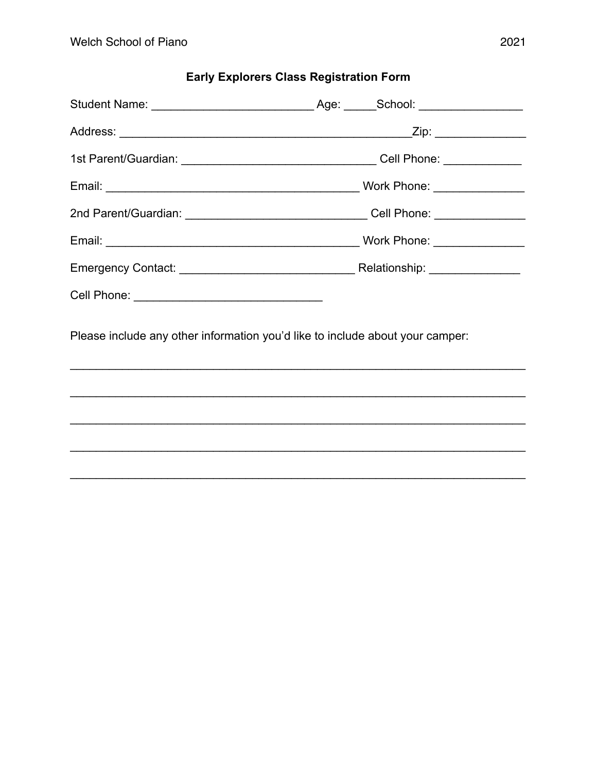## **Early Explorers Class Registration Form**

| 2nd Parent/Guardian: __________________________________Cell Phone: _____________                                                             |  |  |  |
|----------------------------------------------------------------------------------------------------------------------------------------------|--|--|--|
|                                                                                                                                              |  |  |  |
|                                                                                                                                              |  |  |  |
|                                                                                                                                              |  |  |  |
| Please include any other information you'd like to include about your camper:<br><u> 1999 - Johann Stoff, amerikansk politiker (d. 1989)</u> |  |  |  |
|                                                                                                                                              |  |  |  |
|                                                                                                                                              |  |  |  |
|                                                                                                                                              |  |  |  |
|                                                                                                                                              |  |  |  |